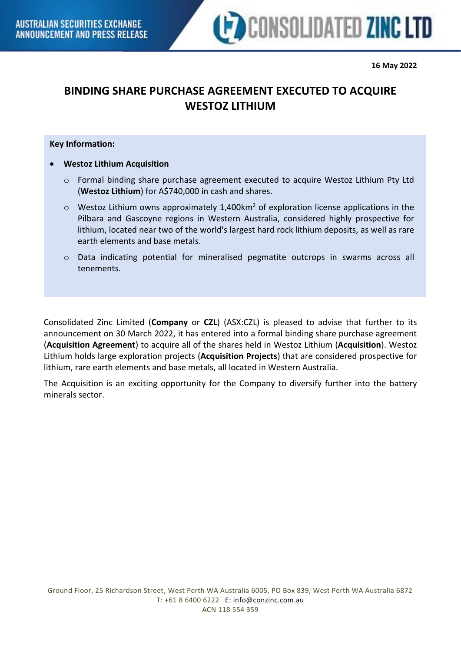

# **BINDING SHARE PURCHASE AGREEMENT EXECUTED TO ACQUIRE WESTOZ LITHIUM**

## **Key Information:**

• **Westoz Lithium Acquisition**

- o Formal binding share purchase agreement executed to acquire Westoz Lithium Pty Ltd (**Westoz Lithium**) for A\$740,000 in cash and shares.
- $\circ$  Westoz Lithium owns approximately 1,400km<sup>2</sup> of exploration license applications in the Pilbara and Gascoyne regions in Western Australia, considered highly prospective for lithium, located near two of the world's largest hard rock lithium deposits, as well as rare earth elements and base metals.
- o Data indicating potential for mineralised pegmatite outcrops in swarms across all tenements.

Consolidated Zinc Limited (**Company** or **CZL**) (ASX:CZL) is pleased to advise that further to its announcement on 30 March 2022, it has entered into a formal binding share purchase agreement (**Acquisition Agreement**) to acquire all of the shares held in Westoz Lithium (**Acquisition**). Westoz Lithium holds large exploration projects (**Acquisition Projects**) that are considered prospective for lithium, rare earth elements and base metals, all located in Western Australia.

The Acquisition is an exciting opportunity for the Company to diversify further into the battery minerals sector.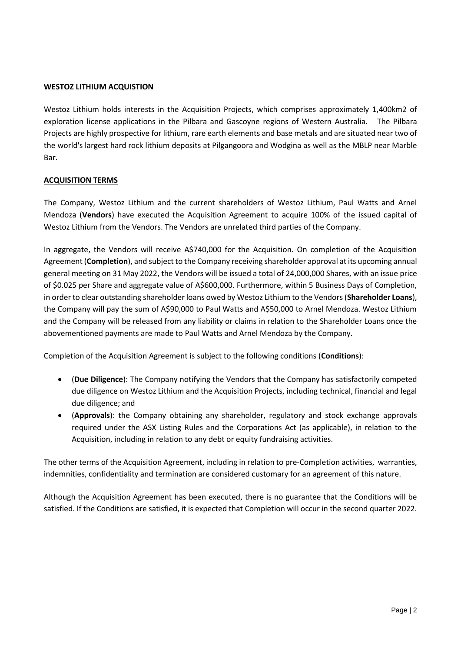## **WESTOZ LITHIUM ACQUISTION**

Westoz Lithium holds interests in the Acquisition Projects, which comprises approximately 1,400km2 of exploration license applications in the Pilbara and Gascoyne regions of Western Australia. The Pilbara Projects are highly prospective for lithium, rare earth elements and base metals and are situated near two of the world's largest hard rock lithium deposits at Pilgangoora and Wodgina as well as the MBLP near Marble Bar.

## **ACQUISITION TERMS**

The Company, Westoz Lithium and the current shareholders of Westoz Lithium, Paul Watts and Arnel Mendoza (**Vendors**) have executed the Acquisition Agreement to acquire 100% of the issued capital of Westoz Lithium from the Vendors. The Vendors are unrelated third parties of the Company.

In aggregate, the Vendors will receive A\$740,000 for the Acquisition. On completion of the Acquisition Agreement (**Completion**), and subject to the Company receiving shareholder approval at its upcoming annual general meeting on 31 May 2022, the Vendors will be issued a total of 24,000,000 Shares, with an issue price of \$0.025 per Share and aggregate value of A\$600,000. Furthermore, within 5 Business Days of Completion, in order to clear outstanding shareholder loans owed by Westoz Lithium to the Vendors (**Shareholder Loans**), the Company will pay the sum of A\$90,000 to Paul Watts and A\$50,000 to Arnel Mendoza. Westoz Lithium and the Company will be released from any liability or claims in relation to the Shareholder Loans once the abovementioned payments are made to Paul Watts and Arnel Mendoza by the Company.

Completion of the Acquisition Agreement is subject to the following conditions (**Conditions**):

- (**Due Diligence**): The Company notifying the Vendors that the Company has satisfactorily competed due diligence on Westoz Lithium and the Acquisition Projects, including technical, financial and legal due diligence; and
- (**Approvals**): the Company obtaining any shareholder, regulatory and stock exchange approvals required under the ASX Listing Rules and the Corporations Act (as applicable), in relation to the Acquisition, including in relation to any debt or equity fundraising activities.

The other terms of the Acquisition Agreement, including in relation to pre-Completion activities, warranties, indemnities, confidentiality and termination are considered customary for an agreement of this nature.

Although the Acquisition Agreement has been executed, there is no guarantee that the Conditions will be satisfied. If the Conditions are satisfied, it is expected that Completion will occur in the second quarter 2022.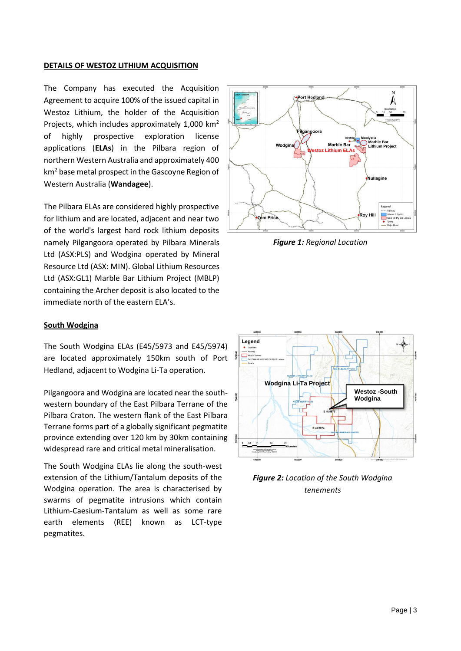#### **DETAILS OF WESTOZ LITHIUM ACQUISITION**

The Company has executed the Acquisition Agreement to acquire 100% of the issued capital in Westoz Lithium, the holder of the Acquisition Projects, which includes approximately 1,000 km<sup>2</sup> of highly prospective exploration license applications (**ELAs**) in the Pilbara region of northern Western Australia and approximately 400 km<sup>2</sup> base metal prospect in the Gascoyne Region of Western Australia (**Wandagee**).

The Pilbara ELAs are considered highly prospective for lithium and are located, adjacent and near two of the world's largest hard rock lithium deposits namely Pilgangoora operated by Pilbara Minerals Ltd (ASX:PLS) and Wodgina operated by Mineral Resource Ltd (ASX: MIN). Global Lithium Resources Ltd (ASX:GL1) Marble Bar Lithium Project (MBLP) containing the Archer deposit is also located to the immediate north of the eastern ELA's.

#### **South Wodgina**

The South Wodgina ELAs (E45/5973 and E45/5974) are located approximately 150km south of Port Hedland, adjacent to Wodgina Li-Ta operation.

Pilgangoora and Wodgina are located near the southwestern boundary of the East Pilbara Terrane of the Pilbara Craton. The western flank of the East Pilbara Terrane forms part of a globally significant pegmatite province extending over 120 km by 30km containing widespread rare and critical metal mineralisation.

The South Wodgina ELAs lie along the south-west extension of the Lithium/Tantalum deposits of the Wodgina operation. The area is characterised by swarms of pegmatite intrusions which contain Lithium-Caesium-Tantalum as well as some rare earth elements (REE) known as LCT-type pegmatites.



*Figure 1: Regional Location*



*Figure 2: Location of the South Wodgina tenements*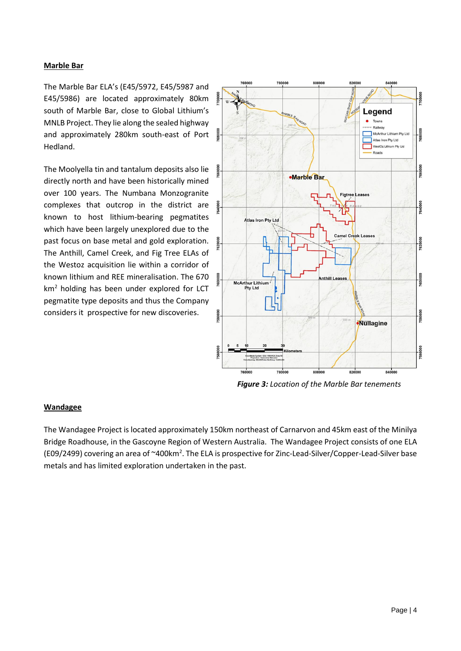### **Marble Bar**

The Marble Bar ELA's (E45/5972, E45/5987 and E45/5986) are located approximately 80km south of Marble Bar, close to Global Lithium's MNLB Project. They lie along the sealed highway and approximately 280km south-east of Port Hedland.

The Moolyella tin and tantalum deposits also lie directly north and have been historically mined over 100 years. The Numbana Monzogranite complexes that outcrop in the district are known to host lithium-bearing pegmatites which have been largely unexplored due to the past focus on base metal and gold exploration. The Anthill, Camel Creek, and Fig Tree ELAs of the Westoz acquisition lie within a corridor of known lithium and REE mineralisation. The 670  $km<sup>2</sup>$  holding has been under explored for LCT pegmatite type deposits and thus the Company considers it prospective for new discoveries.



*Figure 3: Location of the Marble Bar tenements*

### **Wandagee**

The Wandagee Project is located approximately 150km northeast of Carnarvon and 45km east of the Minilya Bridge Roadhouse, in the Gascoyne Region of Western Australia. The Wandagee Project consists of one ELA (E09/2499) covering an area of ~400km<sup>2</sup>. The ELA is prospective for Zinc-Lead-Silver/Copper-Lead-Silver base metals and has limited exploration undertaken in the past.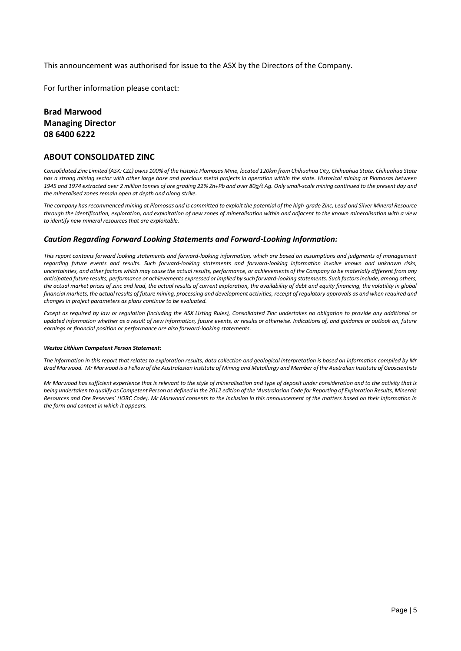This announcement was authorised for issue to the ASX by the Directors of the Company.

For further information please contact:

## **Brad Marwood Managing Director 08 6400 6222**

#### **ABOUT CONSOLIDATED ZINC**

*Consolidated Zinc Limited (ASX: CZL) owns 100% of the historic Plomosas Mine, located 120km from Chihuahua City, Chihuahua State. Chihuahua State*  has a strong mining sector with other large base and precious metal projects in operation within the state. Historical mining at Plomosas between *1945 and 1974 extracted over 2 million tonnes of ore grading 22% Zn+Pb and over 80g/t Ag. Only small-scale mining continued to the present day and the mineralised zones remain open at depth and along strike.* 

*The company has recommenced mining at Plomosas and is committed to exploit the potential of the high-grade Zinc, Lead and Silver Mineral Resource through the identification, exploration, and exploitation of new zones of mineralisation within and adjacent to the known mineralisation with a view to identify new mineral resources that are exploitable.*

#### *Caution Regarding Forward Looking Statements and Forward-Looking Information:*

*This report contains forward looking statements and forward-looking information, which are based on assumptions and judgments of management regarding future events and results. Such forward-looking statements and forward-looking information involve known and unknown risks, uncertainties, and other factors which may cause the actual results, performance, or achievements of the Company to be materially different from any anticipated future results, performance or achievements expressed or implied by such forward-looking statements. Such factors include, among others, the actual market prices of zinc and lead, the actual results of current exploration, the availability of debt and equity financing, the volatility in global financial markets, the actual results of future mining, processing and development activities, receipt of regulatory approvals as and when required and changes in project parameters as plans continue to be evaluated.* 

*Except as required by law or regulation (including the ASX Listing Rules), Consolidated Zinc undertakes no obligation to provide any additional or updated information whether as a result of new information, future events, or results or otherwise. Indications of, and guidance or outlook on, future earnings or financial position or performance are also forward-looking statements.*

#### *Westoz Lithium Competent Person Statement:*

*The information in this report that relates to exploration results, data collection and geological interpretation is based on information compiled by Mr Brad Marwood. Mr Marwood is a Fellow of the Australasian Institute of Mining and Metallurgy and Member of the Australian Institute of Geoscientists* 

*Mr Marwood has sufficient experience that is relevant to the style of mineralisation and type of deposit under consideration and to the activity that is being undertaken to qualify as Competent Person as defined in the 2012 edition of the 'Australasian Code for Reporting of Exploration Results, Minerals Resources and Ore Reserves' (JORC Code). Mr Marwood consents to the inclusion in this announcement of the matters based on their information in the form and context in which it appears.*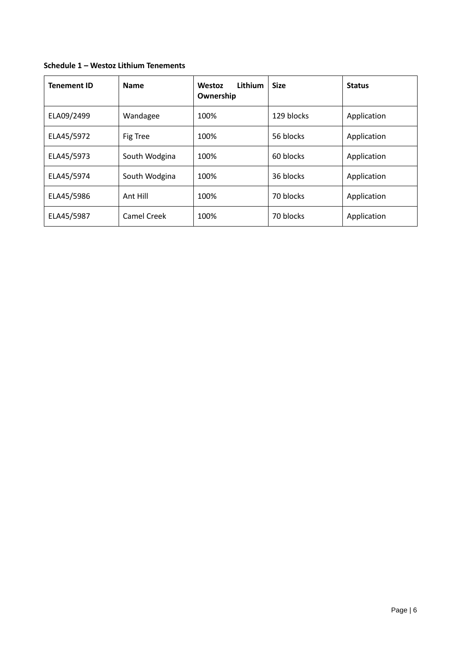| Schedule 1 - Westoz Lithium Tenements |  |  |  |
|---------------------------------------|--|--|--|
|---------------------------------------|--|--|--|

| <b>Tenement ID</b> | <b>Name</b>   | Lithium<br>Westoz<br>Ownership | <b>Size</b> | <b>Status</b> |
|--------------------|---------------|--------------------------------|-------------|---------------|
| ELA09/2499         | Wandagee      | 100%                           | 129 blocks  | Application   |
| ELA45/5972         | Fig Tree      | 100%                           | 56 blocks   | Application   |
| ELA45/5973         | South Wodgina | 100%                           | 60 blocks   | Application   |
| ELA45/5974         | South Wodgina | 100%                           | 36 blocks   | Application   |
| ELA45/5986         | Ant Hill      | 100%                           | 70 blocks   | Application   |
| ELA45/5987         | Camel Creek   | 100%                           | 70 blocks   | Application   |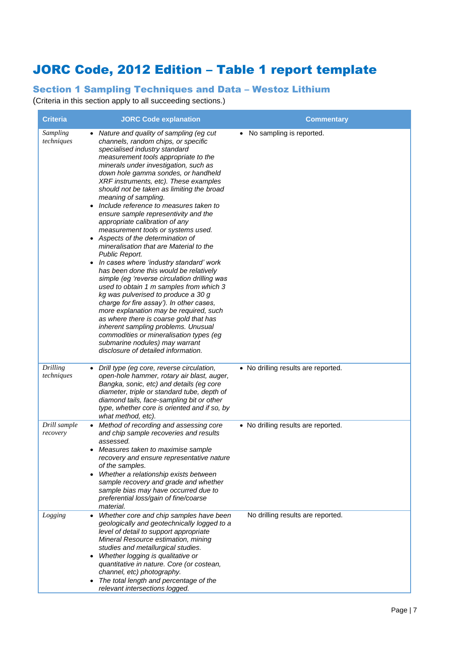# JORC Code, 2012 Edition – Table 1 report template

## Section 1 Sampling Techniques and Data – Westoz Lithium

(Criteria in this section apply to all succeeding sections.)

| <b>Criteria</b>               | <b>JORC Code explanation</b>                                                                                                                                                                                                                                                                                                                                                                                                                                                                                                                                                                                                                                                                                                                                                                                                                                                                                                                                                                                                                                                                                                                      | <b>Commentary</b>                   |
|-------------------------------|---------------------------------------------------------------------------------------------------------------------------------------------------------------------------------------------------------------------------------------------------------------------------------------------------------------------------------------------------------------------------------------------------------------------------------------------------------------------------------------------------------------------------------------------------------------------------------------------------------------------------------------------------------------------------------------------------------------------------------------------------------------------------------------------------------------------------------------------------------------------------------------------------------------------------------------------------------------------------------------------------------------------------------------------------------------------------------------------------------------------------------------------------|-------------------------------------|
| Sampling<br>techniques        | • Nature and quality of sampling (eg cut<br>channels, random chips, or specific<br>specialised industry standard<br>measurement tools appropriate to the<br>minerals under investigation, such as<br>down hole gamma sondes, or handheld<br>XRF instruments, etc). These examples<br>should not be taken as limiting the broad<br>meaning of sampling.<br>Include reference to measures taken to<br>$\bullet$<br>ensure sample representivity and the<br>appropriate calibration of any<br>measurement tools or systems used.<br>• Aspects of the determination of<br>mineralisation that are Material to the<br>Public Report.<br>In cases where 'industry standard' work<br>has been done this would be relatively<br>simple (eg 'reverse circulation drilling was<br>used to obtain 1 m samples from which 3<br>kg was pulverised to produce a 30 g<br>charge for fire assay'). In other cases,<br>more explanation may be required, such<br>as where there is coarse gold that has<br>inherent sampling problems. Unusual<br>commodities or mineralisation types (eg<br>submarine nodules) may warrant<br>disclosure of detailed information. | • No sampling is reported.          |
| <b>Drilling</b><br>techniques | • Drill type (eg core, reverse circulation,<br>open-hole hammer, rotary air blast, auger,<br>Bangka, sonic, etc) and details (eg core<br>diameter, triple or standard tube, depth of<br>diamond tails, face-sampling bit or other<br>type, whether core is oriented and if so, by<br>what method, etc).                                                                                                                                                                                                                                                                                                                                                                                                                                                                                                                                                                                                                                                                                                                                                                                                                                           | • No drilling results are reported. |
| Drill sample<br>recovery      | Method of recording and assessing core<br>and chip sample recoveries and results<br>assessed.<br>Measures taken to maximise sample<br>recovery and ensure representative nature<br>of the samples.<br>Whether a relationship exists between<br>sample recovery and grade and whether<br>sample bias may have occurred due to<br>preferential loss/gain of fine/coarse<br>material.                                                                                                                                                                                                                                                                                                                                                                                                                                                                                                                                                                                                                                                                                                                                                                | • No drilling results are reported. |
| Logging                       | Whether core and chip samples have been<br>$\bullet$<br>geologically and geotechnically logged to a<br>level of detail to support appropriate<br>Mineral Resource estimation, mining<br>studies and metallurgical studies.<br>Whether logging is qualitative or<br>$\bullet$<br>quantitative in nature. Core (or costean,<br>channel, etc) photography.<br>• The total length and percentage of the<br>relevant intersections logged.                                                                                                                                                                                                                                                                                                                                                                                                                                                                                                                                                                                                                                                                                                             | No drilling results are reported.   |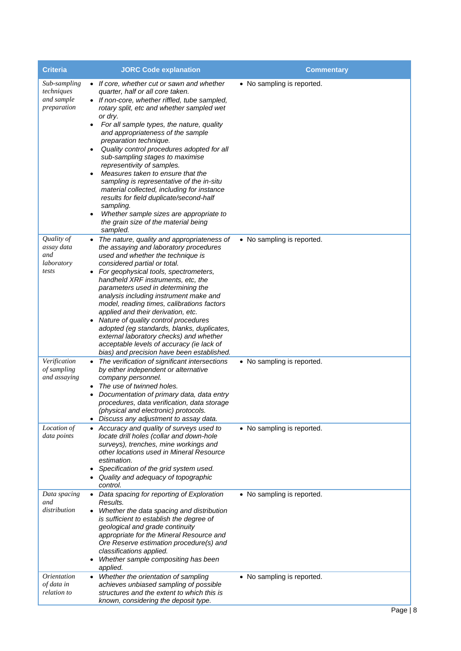| <b>Criteria</b>                                         | <b>JORC Code explanation</b>                                                                                                                                                                                                                                                                                                                                                                                                                                                                                                                                                                                                                                                                                                             | <b>Commentary</b>          |
|---------------------------------------------------------|------------------------------------------------------------------------------------------------------------------------------------------------------------------------------------------------------------------------------------------------------------------------------------------------------------------------------------------------------------------------------------------------------------------------------------------------------------------------------------------------------------------------------------------------------------------------------------------------------------------------------------------------------------------------------------------------------------------------------------------|----------------------------|
| Sub-sampling<br>techniques<br>and sample<br>preparation | • If core, whether cut or sawn and whether<br>quarter, half or all core taken.<br>• If non-core, whether riffled, tube sampled,<br>rotary split, etc and whether sampled wet<br>or dry.<br>For all sample types, the nature, quality<br>$\bullet$<br>and appropriateness of the sample<br>preparation technique.<br>Quality control procedures adopted for all<br>$\bullet$<br>sub-sampling stages to maximise<br>representivity of samples.<br>Measures taken to ensure that the<br>sampling is representative of the in-situ<br>material collected, including for instance<br>results for field duplicate/second-half<br>sampling.<br>Whether sample sizes are appropriate to<br>٠<br>the grain size of the material being<br>sampled. | • No sampling is reported. |
| Quality of<br>assay data<br>and<br>laboratory<br>tests  | The nature, quality and appropriateness of<br>the assaying and laboratory procedures<br>used and whether the technique is<br>considered partial or total.<br>For geophysical tools, spectrometers,<br>$\bullet$<br>handheld XRF instruments, etc, the<br>parameters used in determining the<br>analysis including instrument make and<br>model, reading times, calibrations factors<br>applied and their derivation, etc.<br>Nature of quality control procedures<br>adopted (eg standards, blanks, duplicates,<br>external laboratory checks) and whether<br>acceptable levels of accuracy (ie lack of<br>bias) and precision have been established.                                                                                    | • No sampling is reported. |
| Verification<br>of sampling<br>and assaying             | • The verification of significant intersections<br>by either independent or alternative<br>company personnel.<br>The use of twinned holes.<br>Documentation of primary data, data entry<br>٠<br>procedures, data verification, data storage<br>(physical and electronic) protocols.<br>Discuss any adjustment to assay data.                                                                                                                                                                                                                                                                                                                                                                                                             | • No sampling is reported. |
| Location of<br>data points                              | • Accuracy and quality of surveys used to<br>locate drill holes (collar and down-hole<br>surveys), trenches, mine workings and<br>other locations used in Mineral Resource<br>estimation.<br>Specification of the grid system used.<br>Quality and adequacy of topographic<br>control.                                                                                                                                                                                                                                                                                                                                                                                                                                                   | • No sampling is reported. |
| Data spacing<br>and<br>distribution                     | Data spacing for reporting of Exploration<br>Results.<br>Whether the data spacing and distribution<br>is sufficient to establish the degree of<br>geological and grade continuity<br>appropriate for the Mineral Resource and<br>Ore Reserve estimation procedure(s) and<br>classifications applied.<br>Whether sample compositing has been<br>applied.                                                                                                                                                                                                                                                                                                                                                                                  | • No sampling is reported. |
| <i>Orientation</i><br>of data in<br>relation to         | Whether the orientation of sampling<br>achieves unbiased sampling of possible<br>structures and the extent to which this is<br>known, considering the deposit type.                                                                                                                                                                                                                                                                                                                                                                                                                                                                                                                                                                      | • No sampling is reported. |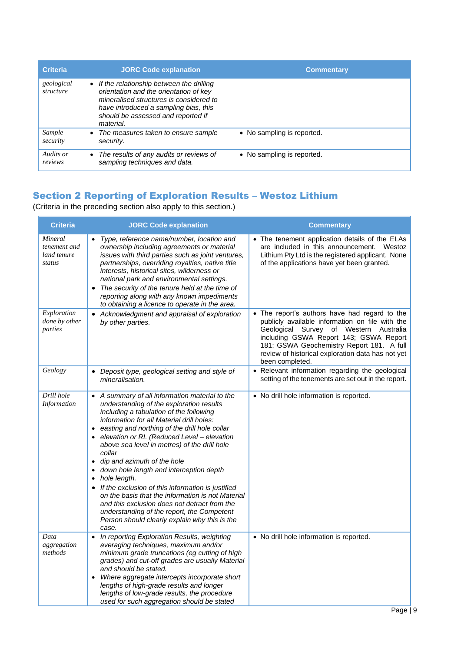| <b>Criteria</b>         | <b>JORC Code explanation</b>                                                                                                                                                                                                | <b>Commentary</b>          |
|-------------------------|-----------------------------------------------------------------------------------------------------------------------------------------------------------------------------------------------------------------------------|----------------------------|
| geological<br>structure | • If the relationship between the drilling<br>orientation and the orientation of key<br>mineralised structures is considered to<br>have introduced a sampling bias, this<br>should be assessed and reported if<br>material. |                            |
| Sample<br>security      | The measures taken to ensure sample<br>security.                                                                                                                                                                            | • No sampling is reported. |
| Audits or<br>reviews    | The results of any audits or reviews of<br>sampling techniques and data.                                                                                                                                                    | • No sampling is reported. |

## Section 2 Reporting of Exploration Results – Westoz Lithium

(Criteria in the preceding section also apply to this section.)

| <b>Criteria</b>                                  | <b>JORC Code explanation</b>                                                                                                                                                                                                                                                                                                                                                                                                                                                                                                                                                                                                                                                                                                        | <b>Commentary</b>                                                                                                                                                                                                                                                                                         |
|--------------------------------------------------|-------------------------------------------------------------------------------------------------------------------------------------------------------------------------------------------------------------------------------------------------------------------------------------------------------------------------------------------------------------------------------------------------------------------------------------------------------------------------------------------------------------------------------------------------------------------------------------------------------------------------------------------------------------------------------------------------------------------------------------|-----------------------------------------------------------------------------------------------------------------------------------------------------------------------------------------------------------------------------------------------------------------------------------------------------------|
| Mineral<br>tenement and<br>land tenure<br>status | Type, reference name/number, location and<br>ownership including agreements or material<br>issues with third parties such as joint ventures,<br>partnerships, overriding royalties, native title<br>interests, historical sites, wilderness or<br>national park and environmental settings.<br>The security of the tenure held at the time of<br>$\bullet$<br>reporting along with any known impediments<br>to obtaining a licence to operate in the area.                                                                                                                                                                                                                                                                          | • The tenement application details of the ELAs<br>are included in this announcement.<br>Westoz<br>Lithium Pty Ltd is the registered applicant. None<br>of the applications have yet been granted.                                                                                                         |
| Exploration<br>done by other<br>parties          | • Acknowledgment and appraisal of exploration<br>by other parties.                                                                                                                                                                                                                                                                                                                                                                                                                                                                                                                                                                                                                                                                  | • The report's authors have had regard to the<br>publicly available information on file with the<br>Geological Survey of Western Australia<br>including GSWA Report 143; GSWA Report<br>181; GSWA Geochemistry Report 181. A full<br>review of historical exploration data has not yet<br>been completed. |
| Geology                                          | Deposit type, geological setting and style of<br>$\bullet$<br>mineralisation.                                                                                                                                                                                                                                                                                                                                                                                                                                                                                                                                                                                                                                                       | • Relevant information regarding the geological<br>setting of the tenements are set out in the report.                                                                                                                                                                                                    |
| Drill hole<br>Information                        | • A summary of all information material to the<br>understanding of the exploration results<br>including a tabulation of the following<br>information for all Material drill holes:<br>easting and northing of the drill hole collar<br>elevation or RL (Reduced Level - elevation<br>above sea level in metres) of the drill hole<br>collar<br>dip and azimuth of the hole<br>$\bullet$<br>down hole length and interception depth<br>hole length.<br>$\bullet$<br>• If the exclusion of this information is justified<br>on the basis that the information is not Material<br>and this exclusion does not detract from the<br>understanding of the report, the Competent<br>Person should clearly explain why this is the<br>case. | • No drill hole information is reported.                                                                                                                                                                                                                                                                  |
| Data<br>aggregation<br>methods                   | In reporting Exploration Results, weighting<br>averaging techniques, maximum and/or<br>minimum grade truncations (eg cutting of high<br>grades) and cut-off grades are usually Material<br>and should be stated.<br>Where aggregate intercepts incorporate short<br>lengths of high-grade results and longer<br>lengths of low-grade results, the procedure<br>used for such aggregation should be stated                                                                                                                                                                                                                                                                                                                           | • No drill hole information is reported.                                                                                                                                                                                                                                                                  |